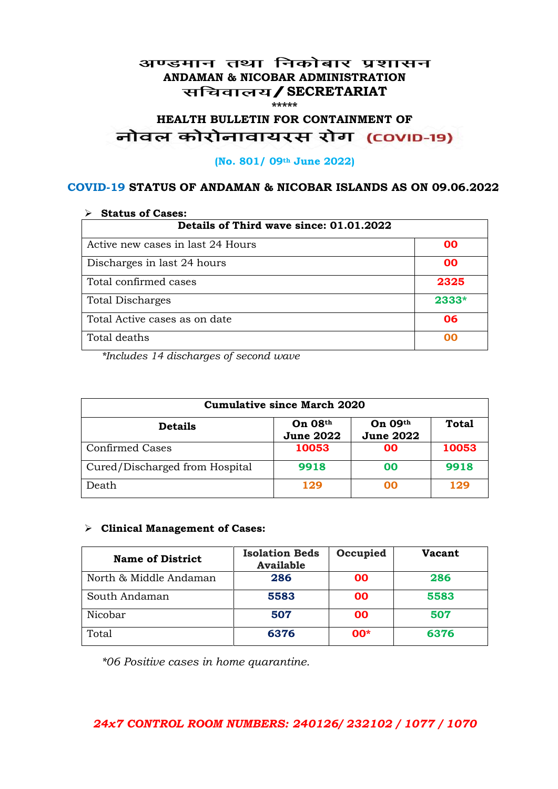### अण्डमान तथा निकोबार प्रशासन **ANDAMAN & NICOBAR ADMINISTRATION /SECRETARIAT \*\*\*\*\***

# HEALTH BULLETIN FOR CONTAINMENT OF<br>बोवल कोरोनावायरस रोग (COVID-19)

#### **(No. 801/ 09th June 2022)**

### **COVID-19 STATUS OF ANDAMAN & NICOBAR ISLANDS AS ON 09.06.2022**

| <b>Status of Cases:</b>                 |       |  |
|-----------------------------------------|-------|--|
| Details of Third wave since: 01.01.2022 |       |  |
| Active new cases in last 24 Hours       | 00    |  |
| Discharges in last 24 hours             | 00    |  |
| Total confirmed cases                   | 2325  |  |
| <b>Total Discharges</b>                 | 2333* |  |
| Total Active cases as on date           | 06    |  |
| Total deaths                            | OO    |  |

*\*Includes 14 discharges of second wave*

| <b>Cumulative since March 2020</b> |                             |                               |              |
|------------------------------------|-----------------------------|-------------------------------|--------------|
| <b>Details</b>                     | On 08th<br><b>June 2022</b> | On $09th$<br><b>June 2022</b> | <b>Total</b> |
| <b>Confirmed Cases</b>             | 10053                       | 00                            | 10053        |
| Cured/Discharged from Hospital     | 9918                        | 00                            | 9918         |
| Death                              | 129                         | 00                            | 129          |

#### **Clinical Management of Cases:**

| <b>Name of District</b> | <b>Isolation Beds</b><br><b>Available</b> | Occupied | <b>Vacant</b> |
|-------------------------|-------------------------------------------|----------|---------------|
| North & Middle Andaman  | 286                                       | 00       | 286           |
| South Andaman           | 5583                                      | 00       | 5583          |
| Nicobar                 | 507                                       | 00       | 507           |
| Total                   | 6376                                      | $00*$    | 6376          |

*\*06 Positive cases in home quarantine.*

## *24x7 CONTROL ROOM NUMBERS: 240126/ 232102 / 1077 / 1070*